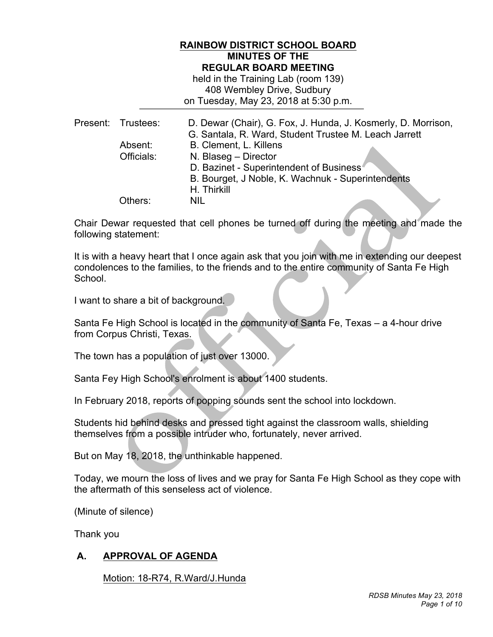# **RAINBOW DISTRICT SCHOOL BOARD MINUTES OF THE REGULAR BOARD MEETING**

 held in the Training Lab (room 139) 408 Wembley Drive, Sudbury on Tuesday, May 23, 2018 at 5:30 p.m.

| D. Dewar (Chair), G. Fox, J. Hunda, J. Kosmerly, D. Morrison,<br>G. Santala, R. Ward, Student Trustee M. Leach Jarrett |
|------------------------------------------------------------------------------------------------------------------------|
|                                                                                                                        |
|                                                                                                                        |
|                                                                                                                        |
|                                                                                                                        |
|                                                                                                                        |
|                                                                                                                        |
|                                                                                                                        |

 Chair Dewar requested that cell phones be turned off during the meeting and made the following statement:

 It is with a heavy heart that I once again ask that you join with me in extending our deepest condolences to the families, to the friends and to the entire community of Santa Fe High School.

I want to share a bit of background.

 Santa Fe High School is located in the community of Santa Fe, Texas – a 4-hour drive from Corpus Christi, Texas.

The town has a population of just over 13000.

Santa Fey High School's enrolment is about 1400 students.

In February 2018, reports of popping sounds sent the school into lockdown.

 Students hid behind desks and pressed tight against the classroom walls, shielding themselves from a possible intruder who, fortunately, never arrived.

But on May 18, 2018, the unthinkable happened.

 Today, we mourn the loss of lives and we pray for Santa Fe High School as they cope with the aftermath of this senseless act of violence.

(Minute of silence)

Thank you

# **A. APPROVAL OF AGENDA**

Motion: 18-R74, R.Ward/J.Hunda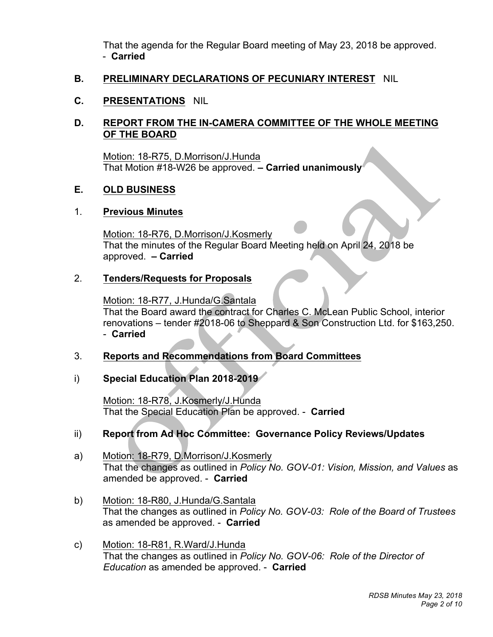That the agenda for the Regular Board meeting of May 23, 2018 be approved. - **Carried** 

# **B. PRELIMINARY DECLARATIONS OF PECUNIARY INTEREST** NIL

# **C. PRESENTATIONS** NIL

# **D. REPORT FROM THE IN-CAMERA COMMITTEE OF THE WHOLE MEETING OF THE BOARD**

 That Motion #18-W26 be approved. **– Carried unanimously**  Motion: 18-R75, D.Morrison/J.Hunda

#### **E. OLD BUSINESS**

# 1. **Previous Minutes**

 approved. **– Carried**  Motion: 18-R76, D.Morrison/J.Kosmerly That the minutes of the Regular Board Meeting held on April 24, 2018 be

# 2. **Tenders/Requests for Proposals**

 Motion: 18-R77, J.Hunda/G.Santala That the Board award the contract for Charles C. McLean Public School, interior renovations – tender #2018-06 to Sheppard & Son Construction Ltd. for \$163,250. - **Carried** 

Ì

# 3. **Reports and Recommendations from Board Committees**

# i) **Special Education Plan 2018-2019**

Motion: 18-R78, J.Kosmerly/J.Hunda That the Special Education Plan be approved. - **Carried** 

# ii) Report from Ad Hoc Committee: Governance Policy Reviews/Updates

- a) Motion: 18-R79, D.Morrison/J.Kosmerly That the changes as outlined in *Policy No. GOV-01: Vision, Mission, and Values* as amended be approved. - **Carried**
- as amended be approved. **Carried**  b) Motion: 18-R80, J.Hunda/G.Santala That the changes as outlined in *Policy No. GOV-03: Role of the Board of Trustees*
- That the changes as outlined in *Policy No. GOV-06: Role of the Director of Education* as amended be approved. - **Carried**  c) Motion: 18-R81, R.Ward/J.Hunda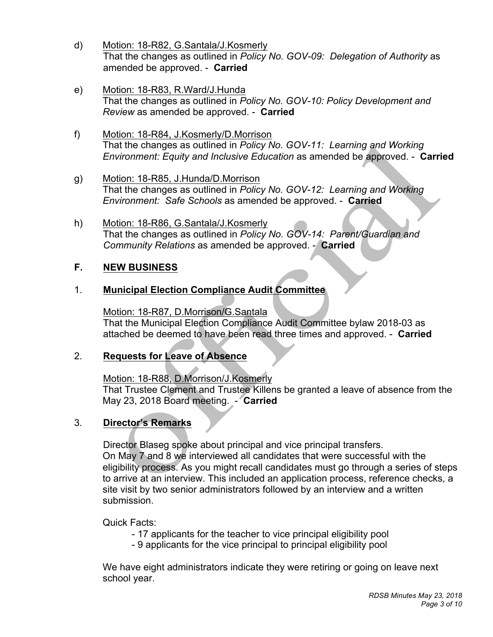- That the changes as outlined in *Policy No. GOV-09: Delegation of Authority* as amended be approved. - **Carried**  d) Motion: 18-R82, G.Santala/J.Kosmerly
- *Review* as amended be approved. **Carried**  e) Motion: 18-R83, R.Ward/J.Hunda That the changes as outlined in *Policy No. GOV-10: Policy Development and*
- *Environment: Equity and Inclusive Education* as amended be approved. **Carried**  f) Motion: 18-R84, J.Kosmerly/D.Morrison That the changes as outlined in *Policy No. GOV-11: Learning and Working*
- *Environment: Safe Schools* as amended be approved. **Carried**  g) Motion: 18-R85, J.Hunda/D.Morrison That the changes as outlined in *Policy No. GOV-12: Learning and Working*
- *Community Relations* as amended be approved. **Carried**  h) Motion: 18-R86, G.Santala/J.Kosmerly That the changes as outlined in *Policy No. GOV-14: Parent/Guardian and*

#### $F_{\perp}$ **F. NEW BUSINESS**

# 1. **Municipal Election Compliance Audit Committee**

 That the Municipal Election Compliance Audit Committee bylaw 2018-03 as attached be deemed to have been read three times and approved. - **Carried**  Motion: 18-R87, D.Morrison/G.Santala

# 2. **Requests for Leave of Absence**

Motion: 18-R88, D.Morrison/J.Kosmerly

 That Trustee Clement and Trustee Killens be granted a leave of absence from the May 23, 2018 Board meeting. - **Carried** 

# 3. **Director's Remarks**

 Director Blaseg spoke about principal and vice principal transfers. On May 7 and 8 we interviewed all candidates that were successful with the eligibility process. As you might recall candidates must go through a series of steps to arrive at an interview. This included an application process, reference checks, a site visit by two senior administrators followed by an interview and a written submission.

Quick Facts:

- 17 applicants for the teacher to vice principal eligibility pool
- 9 applicants for the vice principal to principal eligibility pool

 We have eight administrators indicate they were retiring or going on leave next school year.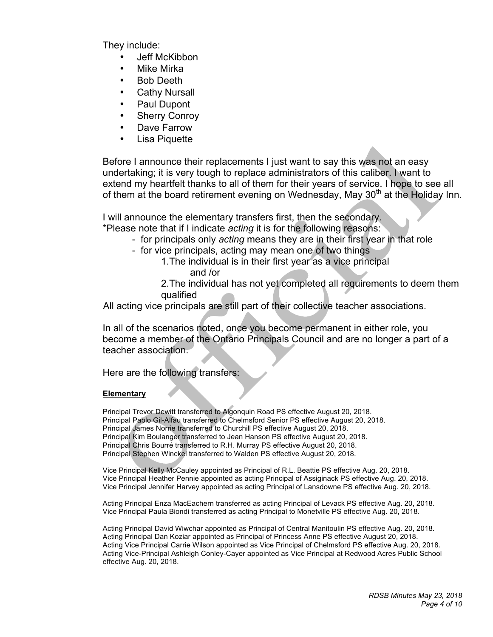They include:

- Jeff McKibbon
- Mike Mirka
- Bob Deeth
- **Cathy Nursall**
- Paul Dupont
- **Sherry Conroy**
- Dave Farrow
- **Lisa Piquette**

 Before I announce their replacements I just want to say this was not an easy undertaking; it is very tough to replace administrators of this caliber. I want to extend my heartfelt thanks to all of them for their years of service. I hope to see all of them at the board retirement evening on Wednesday, May 30<sup>th</sup> at the Holiday Inn.

I will announce the elementary transfers first, then the secondary.

\*Please note that if I indicate *acting* it is for the following reasons:

- for principals only *acting* means they are in their first year in that role
- for vice principals, acting may mean one of two things
	- 1.The individual is in their first year as a vice principal and /or

 2.The individual has not yet completed all requirements to deem them qualified

All acting vice principals are still part of their collective teacher associations.

 In all of the scenarios noted, once you become permanent in either role, you become a member of the Ontario Principals Council and are no longer a part of a teacher association.

teacher association.<br>Here are the following transfers:

### **Elementary**

 Principal Trevor Dewitt transferred to Algonquin Road PS effective August 20, 2018. Principal Pablo Gil-Alfau transferred to Chelmsford Senior PS effective August 20, 2018. Principal James Norrie transferred to Churchill PS effective August 20, 2018. Principal Kim Boulanger transferred to Jean Hanson PS effective August 20, 2018. Principal Chris Bourré transferred to R.H. Murray PS effective August 20, 2018. Principal Stephen Winckel transferred to Walden PS effective August 20, 2018.

 Vice Principal Kelly McCauley appointed as Principal of R.L. Beattie PS effective Aug. 20, 2018. Vice Principal Heather Pennie appointed as acting Principal of Assiginack PS effective Aug. 20, 2018. Vice Principal Jennifer Harvey appointed as acting Principal of Lansdowne PS effective Aug. 20, 2018.

 Acting Principal Enza MacEachern transferred as acting Principal of Levack PS effective Aug. 20, 2018. Vice Principal Paula Biondi transferred as acting Principal to Monetville PS effective Aug. 20, 2018.

 Acting Principal David Wiwchar appointed as Principal of Central Manitoulin PS effective Aug. 20, 2018. Acting Principal Dan Koziar appointed as Principal of Princess Anne PS effective August 20, 2018. Acting Vice Principal Carrie Wilson appointed as Vice Principal of Chelmsford PS effective Aug. 20, 2018. Acting Vice-Principal Ashleigh Conley-Cayer appointed as Vice Principal at Redwood Acres Public School effective Aug. 20, 2018.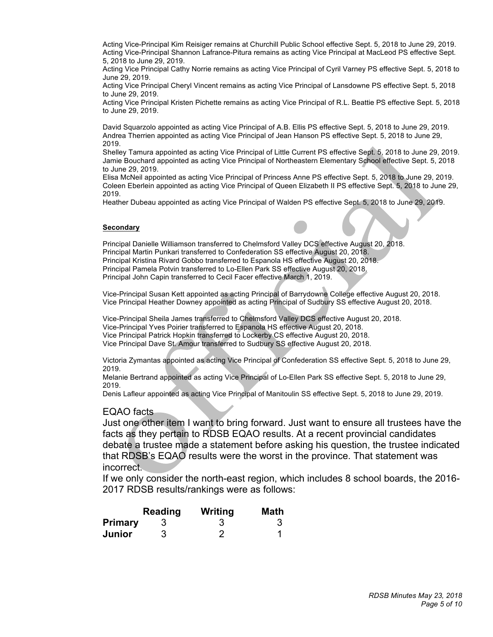Acting Vice-Principal Kim Reisiger remains at Churchill Public School effective Sept. 5, 2018 to June 29, 2019. Acting Vice-Principal Shannon Lafrance-Pitura remains as acting Vice Principal at MacLeod PS effective Sept. 5, 2018 to June 29, 2019.

 Acting Vice Principal Cathy Norrie remains as acting Vice Principal of Cyril Varney PS effective Sept. 5, 2018 to June 29, 2019.

 Acting Vice Principal Cheryl Vincent remains as acting Vice Principal of Lansdowne PS effective Sept. 5, 2018 to June 29, 2019.

 Acting Vice Principal Kristen Pichette remains as acting Vice Principal of R.L. Beattie PS effective Sept. 5, 2018 to June 29, 2019.

 David Squarzolo appointed as acting Vice Principal of A.B. Ellis PS effective Sept. 5, 2018 to June 29, 2019. Andrea Therrien appointed as acting Vice Principal of Jean Hanson PS effective Sept. 5, 2018 to June 29, 2019.

 Jamie Bouchard appointed as acting Vice Principal of Northeastern Elementary School effective Sept. 5, 2018 Shelley Tamura appointed as acting Vice Principal of Little Current PS effective Sept. 5, 2018 to June 29, 2019. to June 29, 2019.

 Elisa McNeil appointed as acting Vice Principal of Princess Anne PS effective Sept. 5, 2018 to June 29, 2019. Coleen Eberlein appointed as acting Vice Principal of Queen Elizabeth II PS effective Sept. 5, 2018 to June 29, 2019.

Heather Dubeau appointed as acting Vice Principal of Walden PS effective Sept. 5, 2018 to June 29, 2019.

### **Secondary**

 Principal Danielle Williamson transferred to Chelmsford Valley DCS effective August 20, 2018. Principal Martin Punkari transferred to Confederation SS effective August 20, 2018. Principal Kristina Rivard Gobbo transferred to Espanola HS effective August 20, 2018. Principal Pamela Potvin transferred to Lo-Ellen Park SS effective August 20, 2018. Principal John Capin transferred to Cecil Facer effective March 1, 2019. í

 Vice-Principal Susan Kett appointed as acting Principal of Barrydowne College effective August 20, 2018. Vice Principal Heather Downey appointed as acting Principal of Sudbury SS effective August 20, 2018.

Vice-Principal Sheila James transferred to Chelmsford Valley DCS effective August 20, 2018.

Vice-Principal Yves Poirier transferred to Espanola HS effective August 20, 2018.

Vice Principal Patrick Hopkin transferred to Lockerby CS effective August 20, 2018.

Vice Principal Dave St. Amour transferred to Sudbury SS effective August 20, 2018.

 Victoria Zymantas appointed as acting Vice Principal of Confederation SS effective Sept. 5, 2018 to June 29, 2019.

Melanie Bertrand appointed as acting Vice Principal of Lo-Ellen Park SS effective Sept. 5, 2018 to June 29, 2019.

Denis Lafleur appointed as acting Vice Principal of Manitoulin SS effective Sept. 5, 2018 to June 29, 2019.

### EQAO facts

 Just one other item I want to bring forward. Just want to ensure all trustees have the facts as they pertain to RDSB EQAO results. At a recent provincial candidates debate a trustee made a statement before asking his question, the trustee indicated that RDSB's EQAO results were the worst in the province. That statement was incorrect.

 If we only consider the north-east region, which includes 8 school boards, the 2016- 2017 RDSB results/rankings were as follows:

|                | Reading | Writing | <b>Math</b> |
|----------------|---------|---------|-------------|
| <b>Primary</b> |         |         |             |
| Junior         | 3       |         |             |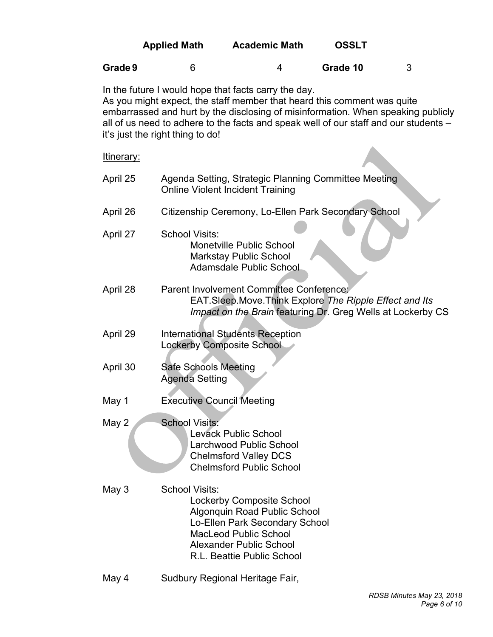|                                                                                                                                                                                                                                                                                                                                                 | <b>Applied Math</b>                                  | <b>Academic Math</b>                                                                                                                                                                               | <b>OSSLT</b> |   |  |  |
|-------------------------------------------------------------------------------------------------------------------------------------------------------------------------------------------------------------------------------------------------------------------------------------------------------------------------------------------------|------------------------------------------------------|----------------------------------------------------------------------------------------------------------------------------------------------------------------------------------------------------|--------------|---|--|--|
| Grade 9                                                                                                                                                                                                                                                                                                                                         | 6                                                    | 4                                                                                                                                                                                                  | Grade 10     | 3 |  |  |
| In the future I would hope that facts carry the day.<br>As you might expect, the staff member that heard this comment was quite<br>embarrassed and hurt by the disclosing of misinformation. When speaking publicly<br>all of us need to adhere to the facts and speak well of our staff and our students -<br>it's just the right thing to do! |                                                      |                                                                                                                                                                                                    |              |   |  |  |
| ltinerary:                                                                                                                                                                                                                                                                                                                                      |                                                      |                                                                                                                                                                                                    |              |   |  |  |
| April 25                                                                                                                                                                                                                                                                                                                                        |                                                      | Agenda Setting, Strategic Planning Committee Meeting<br><b>Online Violent Incident Training</b>                                                                                                    |              |   |  |  |
| April 26                                                                                                                                                                                                                                                                                                                                        |                                                      | Citizenship Ceremony, Lo-Ellen Park Secondary School                                                                                                                                               |              |   |  |  |
| April 27                                                                                                                                                                                                                                                                                                                                        | School Visits:                                       | <b>Monetville Public School</b><br><b>Markstay Public School</b><br><b>Adamsdale Public School</b>                                                                                                 |              |   |  |  |
| April 28                                                                                                                                                                                                                                                                                                                                        |                                                      | Parent Involvement Committee Conference:<br>EAT.Sleep.Move.Think Explore The Ripple Effect and Its<br>Impact on the Brain featuring Dr. Greg Wells at Lockerby CS                                  |              |   |  |  |
| April 29                                                                                                                                                                                                                                                                                                                                        | <b>Lockerby Composite School</b>                     | <b>International Students Reception</b>                                                                                                                                                            |              |   |  |  |
| April 30                                                                                                                                                                                                                                                                                                                                        | <b>Safe Schools Meeting</b><br><b>Agenda Setting</b> |                                                                                                                                                                                                    |              |   |  |  |
| May 1                                                                                                                                                                                                                                                                                                                                           | <b>Executive Council Meeting</b>                     |                                                                                                                                                                                                    |              |   |  |  |
| May 2                                                                                                                                                                                                                                                                                                                                           | <b>School Visits:</b>                                | Levack Public School<br>Larchwood Public School<br><b>Chelmsford Valley DCS</b><br><b>Chelmsford Public School</b>                                                                                 |              |   |  |  |
| May 3                                                                                                                                                                                                                                                                                                                                           | School Visits:                                       | <b>Lockerby Composite School</b><br>Algonquin Road Public School<br>Lo-Ellen Park Secondary School<br><b>MacLeod Public School</b><br><b>Alexander Public School</b><br>R.L. Beattie Public School |              |   |  |  |
| May 4                                                                                                                                                                                                                                                                                                                                           |                                                      | Sudbury Regional Heritage Fair,                                                                                                                                                                    |              |   |  |  |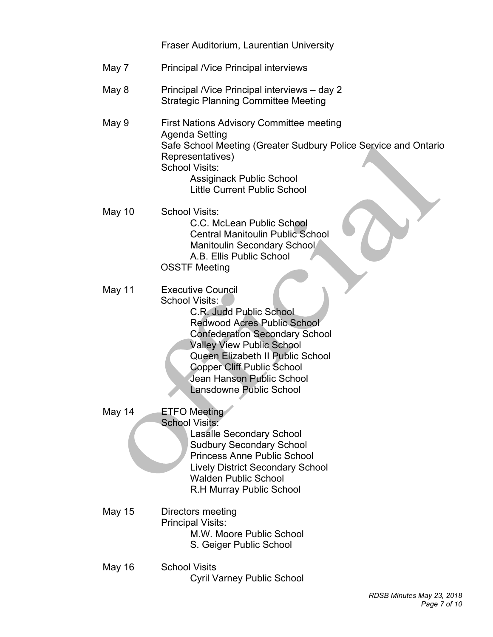|               | Fraser Auditorium, Laurentian University                                                                                                                                                                                                                                                                                         |
|---------------|----------------------------------------------------------------------------------------------------------------------------------------------------------------------------------------------------------------------------------------------------------------------------------------------------------------------------------|
| May 7         | <b>Principal / Vice Principal interviews</b>                                                                                                                                                                                                                                                                                     |
| May 8         | Principal /Vice Principal interviews - day 2<br><b>Strategic Planning Committee Meeting</b>                                                                                                                                                                                                                                      |
| May 9         | <b>First Nations Advisory Committee meeting</b><br>Agenda Setting<br>Safe School Meeting (Greater Sudbury Police Service and Ontario<br>Representatives)<br><b>School Visits:</b><br><b>Assiginack Public School</b><br><b>Little Current Public School</b>                                                                      |
| May 10        | <b>School Visits:</b><br>C.C. McLean Public School<br><b>Central Manitoulin Public School</b><br>Manitoulin Secondary School<br>A.B. Ellis Public School<br><b>OSSTF Meeting</b>                                                                                                                                                 |
| May 11        | <b>Executive Council</b><br>School Visits:<br>C.R. Judd Public School<br><b>Redwood Acres Public School</b><br><b>Confederation Secondary School</b><br><b>Valley View Public School</b><br>Queen Elizabeth II Public School<br><b>Copper Cliff Public School</b><br>Jean Hanson Public School<br><b>Lansdowne Public School</b> |
| May 14        | <b>ETFO</b> Meeting<br><b>School Visits:</b><br><b>Lasalle Secondary School</b><br><b>Sudbury Secondary School</b><br><b>Princess Anne Public School</b><br><b>Lively District Secondary School</b><br><b>Walden Public School</b><br><b>R.H Murray Public School</b>                                                            |
| <b>May 15</b> | Directors meeting<br><b>Principal Visits:</b><br>M.W. Moore Public School<br>S. Geiger Public School                                                                                                                                                                                                                             |
| <b>May 16</b> | <b>School Visits</b><br><b>Cyril Varney Public School</b>                                                                                                                                                                                                                                                                        |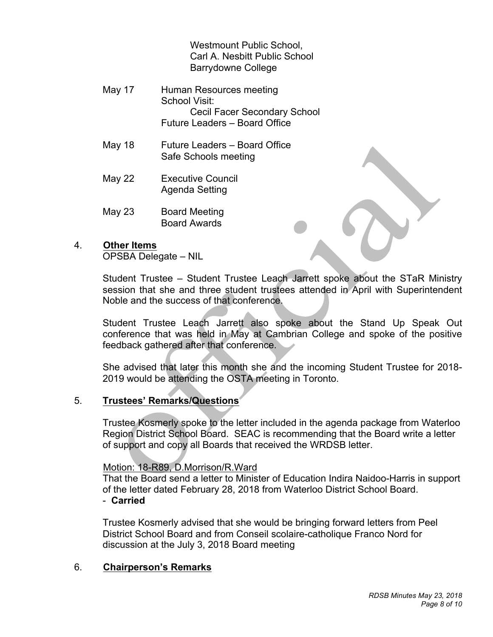Westmount Public School. Carl A. Nesbitt Public School Barrydowne College

- May 17 Human Resources meeting School Visit: Cecil Facer Secondary School Future Leaders – Board Office
- May 18 Future Leaders Board Office Safe Schools meeting
- May 22 Executive Council Agenda Setting
- May 23 Board Meeting Board Awards

# 4. **Other Items**

OPSBA Delegate – NIL

 Student Trustee – Student Trustee Leach Jarrett spoke about the STaR Ministry session that she and three student trustees attended in April with Superintendent Noble and the success of that conference.

 Student Trustee Leach Jarrett also spoke about the Stand Up Speak Out conference that was held in May at Cambrian College and spoke of the positive feedback gathered after that conference.

 She advised that later this month she and the incoming Student Trustee for 2018- 2019 would be attending the OSTA meeting in Toronto.

#### $5<sub>1</sub>$ 5. **Trustees' Remarks/Questions**

 Trustee Kosmerly spoke to the letter included in the agenda package from Waterloo Region District School Board. SEAC is recommending that the Board write a letter of support and copy all Boards that received the WRDSB letter.

# Motion: 18-R89, D.Morrison/R.Ward

 of the letter dated February 28, 2018 from Waterloo District School Board. - **Carried**  That the Board send a letter to Minister of Education Indira Naidoo-Harris in support

 Trustee Kosmerly advised that she would be bringing forward letters from Peel District School Board and from Conseil scolaire-catholique Franco Nord for discussion at the July 3, 2018 Board meeting

# 6. **Chairperson's Remarks**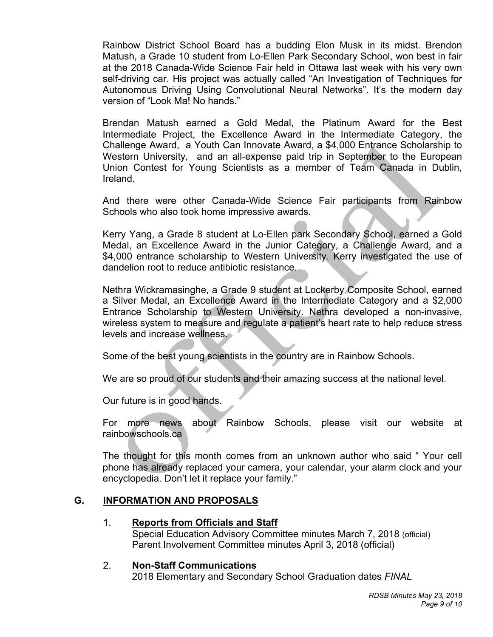Rainbow District School Board has a budding Elon Musk in its midst. Brendon Matush, a Grade 10 student from Lo-Ellen Park Secondary School, won best in fair at the 2018 Canada-Wide Science Fair held in Ottawa last week with his very own self-driving car. His project was actually called "An Investigation of Techniques for Autonomous Driving Using Convolutional Neural Networks". It's the modern day version of "Look Ma! No hands."

 Brendan Matush earned a Gold Medal, the Platinum Award for the Best Intermediate Project, the Excellence Award in the Intermediate Category, the Challenge Award, a Youth Can Innovate Award, a \$4,000 Entrance Scholarship to Western University, and an all-expense paid trip in September to the European Union Contest for Young Scientists as a member of Team Canada in Dublin, Ireland.

 And there were other Canada-Wide Science Fair participants from Rainbow Schools who also took home impressive awards.

 Kerry Yang, a Grade 8 student at Lo-Ellen park Secondary School, earned a Gold Medal, an Excellence Award in the Junior Category, a Challenge Award, and a \$4,000 entrance scholarship to Western University. Kerry investigated the use of dandelion root to reduce antibiotic resistance.

 Nethra Wickramasinghe, a Grade 9 student at Lockerby Composite School, earned a Silver Medal, an Excellence Award in the Intermediate Category and a \$2,000 Entrance Scholarship to Western University. Nethra developed a non-invasive, wireless system to measure and regulate a patient's heart rate to help reduce stress levels and increase wellness.

Some of the best young scientists in the country are in Rainbow Schools.

We are so proud of our students and their amazing success at the national level.

Our future is in good hands.

 For more news about Rainbow Schools, please visit our website at rainbowschools.ca

 The thought for this month comes from an unknown author who said " Your cell phone has already replaced your camera, your calendar, your alarm clock and your encyclopedia. Don't let it replace your family."

# **G. INFORMATION AND PROPOSALS**

# 1. **Reports from Officials and Staff**

 Special Education Advisory Committee minutes March 7, 2018 (official) Parent Involvement Committee minutes April 3, 2018 (official)

#### **Non-Staff Communications**

2018 Elementary and Secondary School Graduation dates *FINAL*